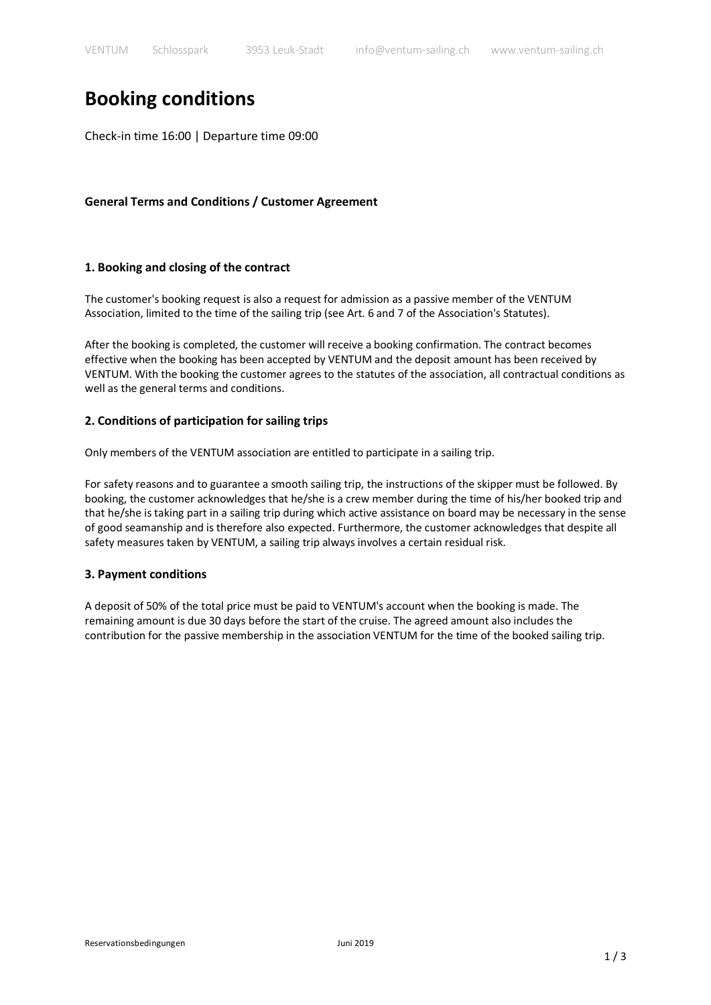# **Booking conditions**

Check-in time 16:00 | Departure time 09:00

# **General Terms and Conditions / Customer Agreement**

## **1. Booking and closing of the contract**

The customer's booking request is also a request for admission as a passive member of the VENTUM Association, limited to the time of the sailing trip (see Art. 6 and 7 of the Association's Statutes).

After the booking is completed, the customer will receive a booking confirmation. The contract becomes effective when the booking has been accepted by VENTUM and the deposit amount has been received by VENTUM. With the booking the customer agrees to the statutes of the association, all contractual conditions as well as the general terms and conditions.

# **2. Conditions of participation for sailing trips**

Only members of the VENTUM association are entitled to participate in a sailing trip.

For safety reasons and to guarantee a smooth sailing trip, the instructions of the skipper must be followed. By booking, the customer acknowledges that he/she is a crew member during the time of his/her booked trip and that he/she is taking part in a sailing trip during which active assistance on board may be necessary in the sense of good seamanship and is therefore also expected. Furthermore, the customer acknowledges that despite all safety measures taken by VENTUM, a sailing trip always involves a certain residual risk.

## **3. Payment conditions**

A deposit of 50% of the total price must be paid to VENTUM's account when the booking is made. The remaining amount is due 30 days before the start of the cruise. The agreed amount also includes the contribution for the passive membership in the association VENTUM for the time of the booked sailing trip.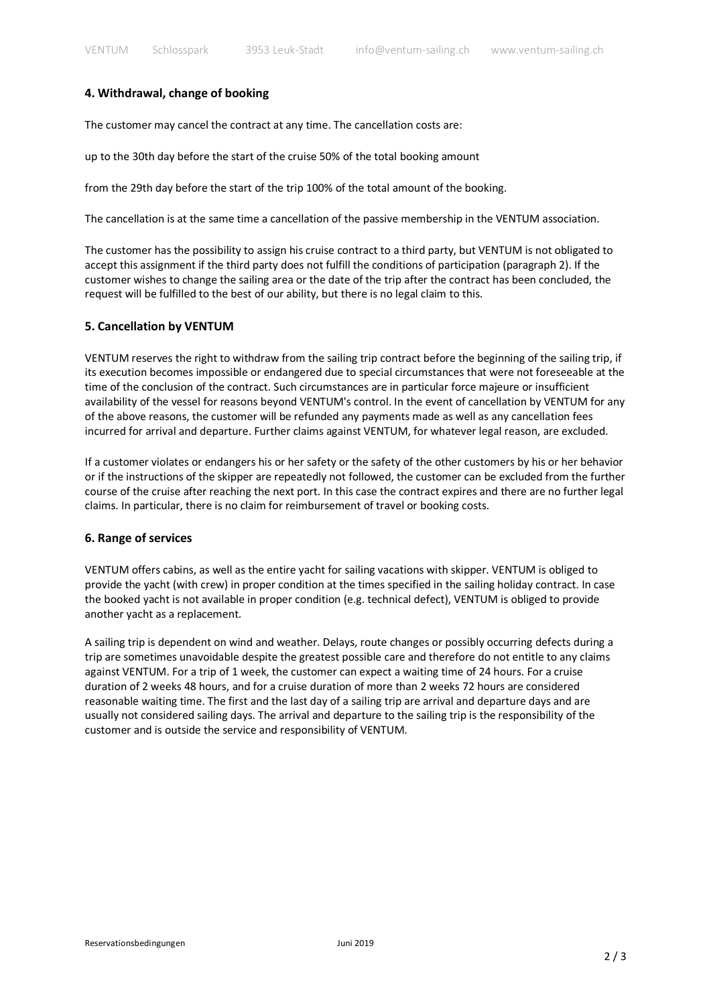#### **4. Withdrawal, change of booking**

The customer may cancel the contract at any time. The cancellation costs are:

up to the 30th day before the start of the cruise 50% of the total booking amount

from the 29th day before the start of the trip 100% of the total amount of the booking.

The cancellation is at the same time a cancellation of the passive membership in the VENTUM association.

The customer has the possibility to assign his cruise contract to a third party, but VENTUM is not obligated to accept this assignment if the third party does not fulfill the conditions of participation (paragraph 2). If the customer wishes to change the sailing area or the date of the trip after the contract has been concluded, the request will be fulfilled to the best of our ability, but there is no legal claim to this.

#### **5. Cancellation by VENTUM**

VENTUM reserves the right to withdraw from the sailing trip contract before the beginning of the sailing trip, if its execution becomes impossible or endangered due to special circumstances that were not foreseeable at the time of the conclusion of the contract. Such circumstances are in particular force majeure or insufficient availability of the vessel for reasons beyond VENTUM's control. In the event of cancellation by VENTUM for any of the above reasons, the customer will be refunded any payments made as well as any cancellation fees incurred for arrival and departure. Further claims against VENTUM, for whatever legal reason, are excluded.

If a customer violates or endangers his or her safety or the safety of the other customers by his or her behavior or if the instructions of the skipper are repeatedly not followed, the customer can be excluded from the further course of the cruise after reaching the next port. In this case the contract expires and there are no further legal claims. In particular, there is no claim for reimbursement of travel or booking costs.

#### **6. Range of services**

VENTUM offers cabins, as well as the entire yacht for sailing vacations with skipper. VENTUM is obliged to provide the yacht (with crew) in proper condition at the times specified in the sailing holiday contract. In case the booked yacht is not available in proper condition (e.g. technical defect), VENTUM is obliged to provide another yacht as a replacement.

A sailing trip is dependent on wind and weather. Delays, route changes or possibly occurring defects during a trip are sometimes unavoidable despite the greatest possible care and therefore do not entitle to any claims against VENTUM. For a trip of 1 week, the customer can expect a waiting time of 24 hours. For a cruise duration of 2 weeks 48 hours, and for a cruise duration of more than 2 weeks 72 hours are considered reasonable waiting time. The first and the last day of a sailing trip are arrival and departure days and are usually not considered sailing days. The arrival and departure to the sailing trip is the responsibility of the customer and is outside the service and responsibility of VENTUM.